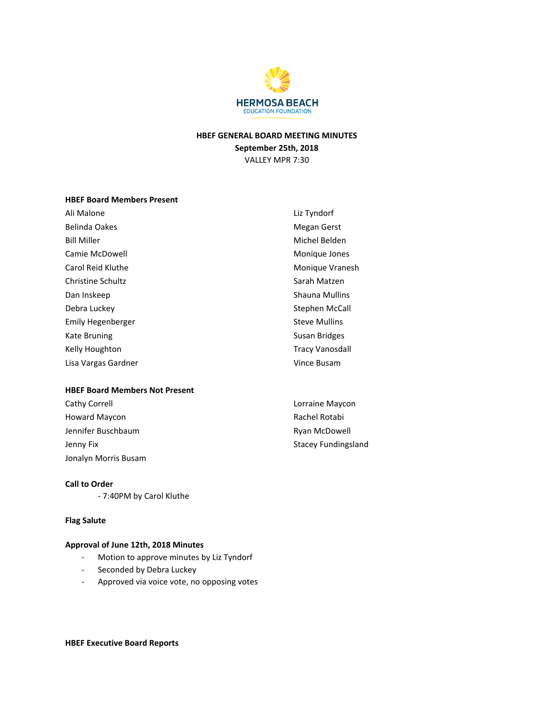

## HBEF GENERAL BOARD MEETING MINUTES September 25th, 2018 VALLEY MPR 7:30

## HBEF Board Members Present

| Ali Malone          | Liz Tyndorf            |
|---------------------|------------------------|
| Belinda Oakes       | <b>Megan Gerst</b>     |
| <b>Bill Miller</b>  | Michel Belden          |
| Camie McDowell      | Monique Jones          |
| Carol Reid Kluthe   | Monique Vranesh        |
| Christine Schultz   | Sarah Matzen           |
| Dan Inskeep         | <b>Shauna Mullins</b>  |
| Debra Luckey        | Stephen McCall         |
| Emily Hegenberger   | <b>Steve Mullins</b>   |
| Kate Bruning        | Susan Bridges          |
| Kelly Houghton      | <b>Tracy Vanosdall</b> |
| Lisa Vargas Gardner | Vince Busam            |

#### HBEF Board Members Not Present

| Cathy Correll        | Lorraine Maycon            |
|----------------------|----------------------------|
| Howard Maycon        | Rachel Rotabi              |
| Jennifer Buschbaum   | Ryan McDowell              |
| Jenny Fix            | <b>Stacey Fundingsland</b> |
| Jonalyn Morris Busam |                            |

# Call to Order

- 7:40PM by Carol Kluthe

## Flag Salute

## Approval of June 12th, 2018 Minutes

- Motion to approve minutes by Liz Tyndorf
- Seconded by Debra Luckey
- Approved via voice vote, no opposing votes

HBEF Executive Board Reports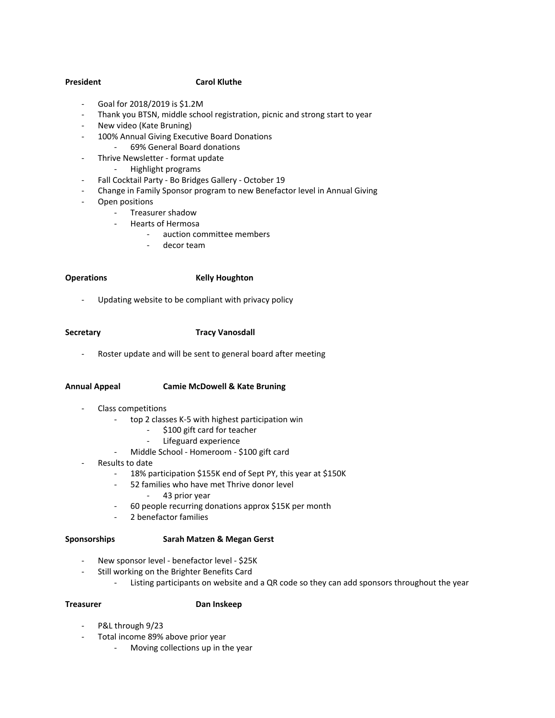## President Carol Kluthe

- Goal for 2018/2019 is \$1.2M
- Thank you BTSN, middle school registration, picnic and strong start to year
- New video (Kate Bruning)
- 100% Annual Giving Executive Board Donations
	- 69% General Board donations
- Thrive Newsletter format update
	- Highlight programs
- Fall Cocktail Party Bo Bridges Gallery October 19
- Change in Family Sponsor program to new Benefactor level in Annual Giving
- Open positions
	- Treasurer shadow
	- Hearts of Hermosa
		- auction committee members
			- decor team

#### Operations **Kelly Houghton**

Updating website to be compliant with privacy policy

## Secretary **Tracy Vanosdall**

Roster update and will be sent to general board after meeting

#### Annual Appeal Camie McDowell & Kate Bruning

- Class competitions
	- top 2 classes K-5 with highest participation win
		- \$100 gift card for teacher
		- Lifeguard experience
	- Middle School Homeroom \$100 gift card
- Results to date
	- 18% participation \$155K end of Sept PY, this year at \$150K
	- 52 families who have met Thrive donor level
		- 43 prior year
	- 60 people recurring donations approx \$15K per month
	- 2 benefactor families

#### Sponsorships Sarah Matzen & Megan Gerst

- New sponsor level benefactor level \$25K
- Still working on the Brighter Benefits Card
	- Listing participants on website and a QR code so they can add sponsors throughout the year

## Treasurer Dan Inskeep

- P&L through 9/23
- Total income 89% above prior year
	- Moving collections up in the year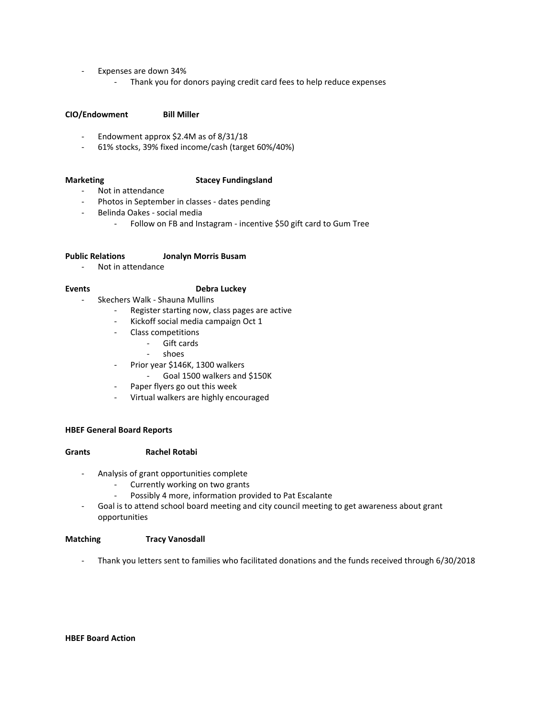- Expenses are down 34%
	- Thank you for donors paying credit card fees to help reduce expenses

### CIO/Endowment Bill Miller

- Endowment approx \$2.4M as of 8/31/18
- 61% stocks, 39% fixed income/cash (target 60%/40%)

## Marketing **Stacey Fundingsland**

- Not in attendance
	- Photos in September in classes dates pending
- Belinda Oakes social media
	- Follow on FB and Instagram incentive \$50 gift card to Gum Tree

#### Public Relations Jonalyn Morris Busam

- Not in attendance

## Events **Debra Luckey**

- Skechers Walk Shauna Mullins
	- Register starting now, class pages are active
	- Kickoff social media campaign Oct 1
	- Class competitions
		- Gift cards
		- shoes
	- Prior year \$146K, 1300 walkers
		- Goal 1500 walkers and \$150K
	- Paper flyers go out this week
	- Virtual walkers are highly encouraged

### HBEF General Board Reports

#### Grants Rachel Rotabi

- Analysis of grant opportunities complete
	- Currently working on two grants
	- Possibly 4 more, information provided to Pat Escalante
- Goal is to attend school board meeting and city council meeting to get awareness about grant opportunities

#### Matching Tracy Vanosdall

- Thank you letters sent to families who facilitated donations and the funds received through 6/30/2018

## HBEF Board Action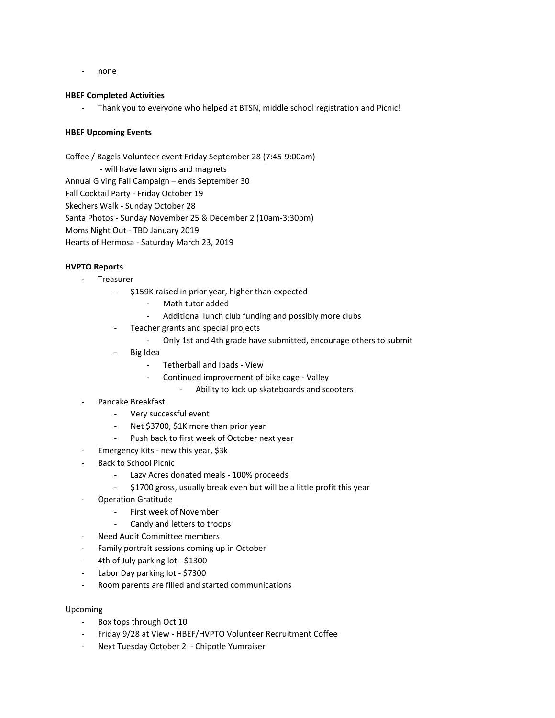- none

### HBEF Completed Activities

Thank you to everyone who helped at BTSN, middle school registration and Picnic!

## HBEF Upcoming Events

Coffee / Bagels Volunteer event Friday September 28 (7:45-9:00am)

- will have lawn signs and magnets Annual Giving Fall Campaign – ends September 30 Fall Cocktail Party - Friday October 19

Skechers Walk - Sunday October 28

Santa Photos - Sunday November 25 & December 2 (10am-3:30pm)

Moms Night Out - TBD January 2019

Hearts of Hermosa - Saturday March 23, 2019

## HVPTO Reports

- Treasurer
	- \$159K raised in prior year, higher than expected
		- Math tutor added
		- Additional lunch club funding and possibly more clubs
	- Teacher grants and special projects
		- Only 1st and 4th grade have submitted, encourage others to submit
	- Big Idea
		- Tetherball and Ipads View
		- Continued improvement of bike cage Valley
			- Ability to lock up skateboards and scooters
- Pancake Breakfast
	- Very successful event
	- Net \$3700, \$1K more than prior year
	- Push back to first week of October next year
- Emergency Kits new this year, \$3k
- Back to School Picnic
	- Lazy Acres donated meals 100% proceeds
	- \$1700 gross, usually break even but will be a little profit this year
- Operation Gratitude
	- First week of November
	- Candy and letters to troops
	- Need Audit Committee members
- Family portrait sessions coming up in October
- 4th of July parking lot \$1300
- Labor Day parking lot \$7300
- Room parents are filled and started communications

## Upcoming

- Box tops through Oct 10
- Friday 9/28 at View HBEF/HVPTO Volunteer Recruitment Coffee
- Next Tuesday October 2 Chipotle Yumraiser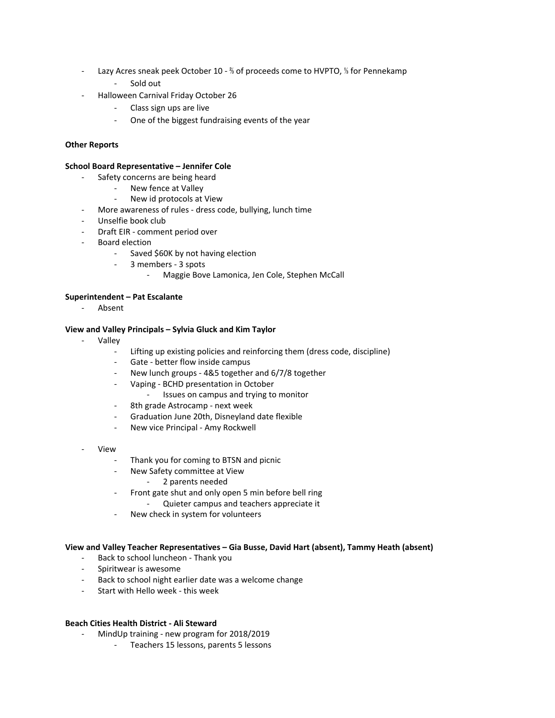- Lazy Acres sneak peek October 10 <sup>%</sup> of proceeds come to HVPTO, <sup>1</sup>% for Pennekamp
	- Sold out
- Halloween Carnival Friday October 26
	- Class sign ups are live
	- One of the biggest fundraising events of the year

## Other Reports

#### School Board Representative – Jennifer Cole

- Safety concerns are being heard
	- New fence at Valley
	- New id protocols at View
- More awareness of rules dress code, bullying, lunch time
- Unselfie book club
- Draft EIR comment period over
- Board election
	- Saved \$60K by not having election
	- 3 members 3 spots
		- Maggie Bove Lamonica, Jen Cole, Stephen McCall

#### Superintendent – Pat Escalante

Absent

## View and Valley Principals – Sylvia Gluck and Kim Taylor

- **Valley** 
	- Lifting up existing policies and reinforcing them (dress code, discipline)
	- Gate better flow inside campus
	- New lunch groups 4&5 together and 6/7/8 together
	- Vaping BCHD presentation in October
		- Issues on campus and trying to monitor
	- 8th grade Astrocamp next week
	- Graduation June 20th, Disneyland date flexible
	- New vice Principal Amy Rockwell
- **View** 
	- Thank you for coming to BTSN and picnic
	- New Safety committee at View
		- 2 parents needed
		- Front gate shut and only open 5 min before bell ring
			- Quieter campus and teachers appreciate it
	- New check in system for volunteers

#### View and Valley Teacher Representatives – Gia Busse, David Hart (absent), Tammy Heath (absent)

- Back to school luncheon Thank you
- Spiritwear is awesome
- Back to school night earlier date was a welcome change
- Start with Hello week this week

#### Beach Cities Health District - Ali Steward

- MindUp training new program for 2018/2019
	- Teachers 15 lessons, parents 5 lessons